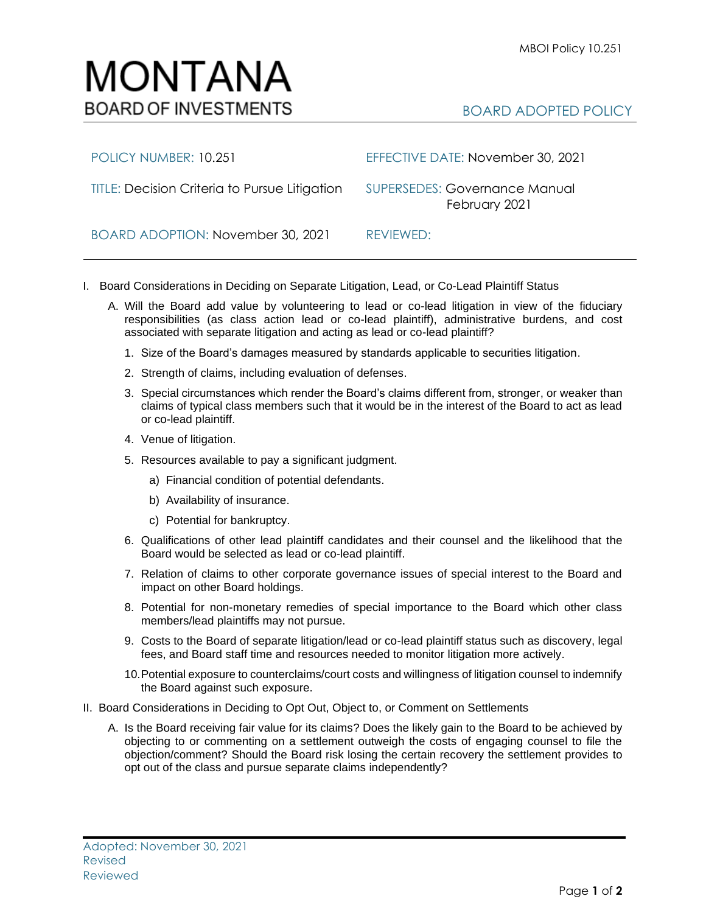## MONTANA **BOARD OF INVESTMENTS**

## BOARD ADOPTED POLICY

| POLICY NUMBER: 10.251                         | EFFECTIVE DATE: November 30, 2021                     |
|-----------------------------------------------|-------------------------------------------------------|
| TITLE: Decision Criteria to Pursue Litigation | <b>SUPERSEDES: Governance Manual</b><br>February 2021 |
| BOARD ADOPTION: November 30, 2021             | REVIEWED:                                             |

- I. Board Considerations in Deciding on Separate Litigation, Lead, or Co-Lead Plaintiff Status
	- A. Will the Board add value by volunteering to lead or co-lead litigation in view of the fiduciary responsibilities (as class action lead or co-lead plaintiff), administrative burdens, and cost associated with separate litigation and acting as lead or co-lead plaintiff?
		- 1. Size of the Board's damages measured by standards applicable to securities litigation.
		- 2. Strength of claims, including evaluation of defenses.
		- 3. Special circumstances which render the Board's claims different from, stronger, or weaker than claims of typical class members such that it would be in the interest of the Board to act as lead or co-lead plaintiff.
		- 4. Venue of litigation.
		- 5. Resources available to pay a significant judgment.
			- a) Financial condition of potential defendants.
			- b) Availability of insurance.
			- c) Potential for bankruptcy.
		- 6. Qualifications of other lead plaintiff candidates and their counsel and the likelihood that the Board would be selected as lead or co-lead plaintiff.
		- 7. Relation of claims to other corporate governance issues of special interest to the Board and impact on other Board holdings.
		- 8. Potential for non-monetary remedies of special importance to the Board which other class members/lead plaintiffs may not pursue.
		- 9. Costs to the Board of separate litigation/lead or co-lead plaintiff status such as discovery, legal fees, and Board staff time and resources needed to monitor litigation more actively.
		- 10.Potential exposure to counterclaims/court costs and willingness of litigation counsel to indemnify the Board against such exposure.
- II. Board Considerations in Deciding to Opt Out, Object to, or Comment on Settlements
	- A. Is the Board receiving fair value for its claims? Does the likely gain to the Board to be achieved by objecting to or commenting on a settlement outweigh the costs of engaging counsel to file the objection/comment? Should the Board risk losing the certain recovery the settlement provides to opt out of the class and pursue separate claims independently?